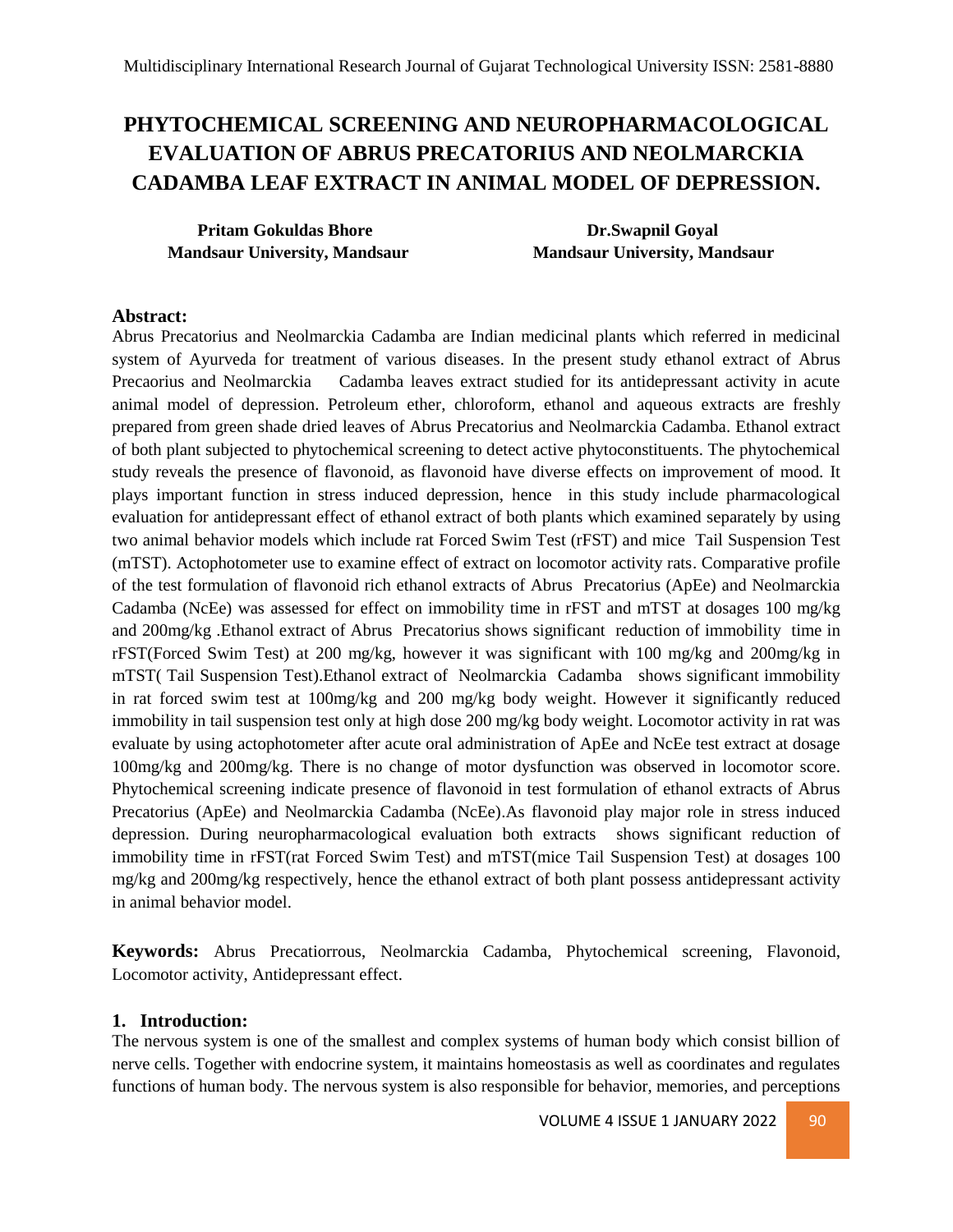# **PHYTOCHEMICAL SCREENING AND NEUROPHARMACOLOGICAL EVALUATION OF ABRUS PRECATORIUS AND NEOLMARCKIA CADAMBA LEAF EXTRACT IN ANIMAL MODEL OF DEPRESSION.**

**Pritam Gokuldas Bhore Dr.Swapnil Goyal Mandsaur University, Mandsaur Mandsaur University, Mandsaur**

# **Abstract:**

Abrus Precatorius and Neolmarckia Cadamba are Indian medicinal plants which referred in medicinal system of Ayurveda for treatment of various diseases. In the present study ethanol extract of Abrus Precaorius and Neolmarckia Cadamba leaves extract studied for its antidepressant activity in acute animal model of depression. Petroleum ether, chloroform, ethanol and aqueous extracts are freshly prepared from green shade dried leaves of Abrus Precatorius and Neolmarckia Cadamba. Ethanol extract of both plant subjected to phytochemical screening to detect active phytoconstituents. The phytochemical study reveals the presence of flavonoid, as flavonoid have diverse effects on improvement of mood. It plays important function in stress induced depression, hence in this study include pharmacological evaluation for antidepressant effect of ethanol extract of both plants which examined separately by using two animal behavior models which include rat Forced Swim Test (rFST) and mice Tail Suspension Test (mTST). Actophotometer use to examine effect of extract on locomotor activity rats. Comparative profile of the test formulation of flavonoid rich ethanol extracts of Abrus Precatorius (ApEe) and Neolmarckia Cadamba (NcEe) was assessed for effect on immobility time in rFST and mTST at dosages 100 mg/kg and 200mg/kg .Ethanol extract of Abrus Precatorius shows significant reduction of immobility time in rFST(Forced Swim Test) at 200 mg/kg, however it was significant with 100 mg/kg and 200mg/kg in mTST( Tail Suspension Test).Ethanol extract of Neolmarckia Cadamba shows significant immobility in rat forced swim test at 100mg/kg and 200 mg/kg body weight. However it significantly reduced immobility in tail suspension test only at high dose 200 mg/kg body weight. Locomotor activity in rat was evaluate by using actophotometer after acute oral administration of ApEe and NcEe test extract at dosage 100mg/kg and 200mg/kg. There is no change of motor dysfunction was observed in locomotor score. Phytochemical screening indicate presence of flavonoid in test formulation of ethanol extracts of Abrus Precatorius (ApEe) and Neolmarckia Cadamba (NcEe).As flavonoid play major role in stress induced depression. During neuropharmacological evaluation both extracts shows significant reduction of immobility time in rFST(rat Forced Swim Test) and mTST(mice Tail Suspension Test) at dosages 100 mg/kg and 200mg/kg respectively, hence the ethanol extract of both plant possess antidepressant activity in animal behavior model.

**Keywords:** Abrus Precatiorrous, Neolmarckia Cadamba, Phytochemical screening, Flavonoid, Locomotor activity, Antidepressant effect.

### **1. Introduction:**

The nervous system is one of the smallest and complex systems of human body which consist billion of nerve cells. Together with endocrine system, it maintains homeostasis as well as coordinates and regulates functions of human body. The nervous system is also responsible for behavior, memories, and perceptions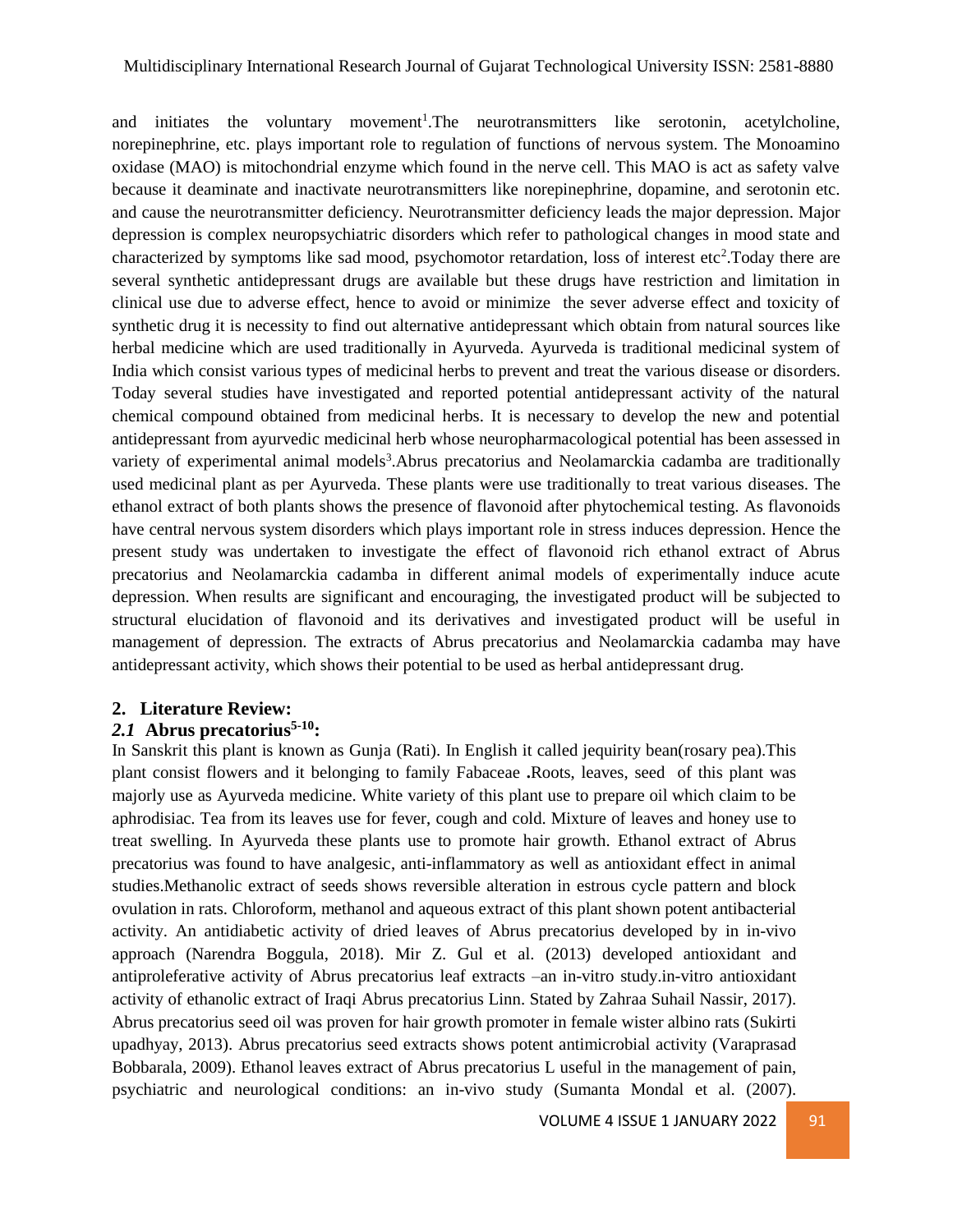and initiates the voluntary movement<sup>1</sup>. The neurotransmitters like serotonin, acetylcholine, norepinephrine, etc. plays important role to regulation of functions of nervous system. The Monoamino oxidase (MAO) is mitochondrial enzyme which found in the nerve cell. This MAO is act as safety valve because it deaminate and inactivate neurotransmitters like norepinephrine, dopamine, and serotonin etc. and cause the neurotransmitter deficiency. Neurotransmitter deficiency leads the major depression. Major depression is complex neuropsychiatric disorders which refer to pathological changes in mood state and characterized by symptoms like sad mood, psychomotor retardation, loss of interest etc<sup>2</sup>. Today there are several synthetic antidepressant drugs are available but these drugs have restriction and limitation in clinical use due to adverse effect, hence to avoid or minimize the sever adverse effect and toxicity of synthetic drug it is necessity to find out alternative antidepressant which obtain from natural sources like herbal medicine which are used traditionally in Ayurveda. Ayurveda is traditional medicinal system of India which consist various types of medicinal herbs to prevent and treat the various disease or disorders. Today several studies have investigated and reported potential antidepressant activity of the natural chemical compound obtained from medicinal herbs. It is necessary to develop the new and potential antidepressant from ayurvedic medicinal herb whose neuropharmacological potential has been assessed in variety of experimental animal models<sup>3</sup>. Abrus precatorius and Neolamarckia cadamba are traditionally used medicinal plant as per Ayurveda. These plants were use traditionally to treat various diseases. The ethanol extract of both plants shows the presence of flavonoid after phytochemical testing. As flavonoids have central nervous system disorders which plays important role in stress induces depression. Hence the present study was undertaken to investigate the effect of flavonoid rich ethanol extract of Abrus precatorius and Neolamarckia cadamba in different animal models of experimentally induce acute depression. When results are significant and encouraging, the investigated product will be subjected to structural elucidation of flavonoid and its derivatives and investigated product will be useful in management of depression. The extracts of Abrus precatorius and Neolamarckia cadamba may have antidepressant activity, which shows their potential to be used as herbal antidepressant drug.

### **2. Literature Review:**

### *2.1* **Abrus precatorius 5-10:**

In Sanskrit this plant is known as Gunja (Rati). In English it called jequirity bean(rosary pea).This plant consist flowers and it belonging to family Fabaceae **.**Roots, leaves, seed of this plant was majorly use as Ayurveda medicine. White variety of this plant use to prepare oil which claim to be aphrodisiac. Tea from its leaves use for fever, cough and cold. Mixture of leaves and honey use to treat swelling. In Ayurveda these plants use to promote hair growth. Ethanol extract of Abrus precatorius was found to have analgesic, anti-inflammatory as well as antioxidant effect in animal studies.Methanolic extract of seeds shows reversible alteration in estrous cycle pattern and block ovulation in rats. Chloroform, methanol and aqueous extract of this plant shown potent antibacterial activity. An antidiabetic activity of dried leaves of Abrus precatorius developed by in in-vivo approach (Narendra Boggula, 2018). Mir Z. Gul et al. (2013) developed antioxidant and antiproleferative activity of Abrus precatorius leaf extracts –an in-vitro study.in-vitro antioxidant activity of ethanolic extract of Iraqi Abrus precatorius Linn. Stated by Zahraa Suhail Nassir, 2017). Abrus precatorius seed oil was proven for hair growth promoter in female wister albino rats (Sukirti upadhyay, 2013). Abrus precatorius seed extracts shows potent antimicrobial activity (Varaprasad Bobbarala, 2009). Ethanol leaves extract of Abrus precatorius L useful in the management of pain, psychiatric and neurological conditions: an in-vivo study (Sumanta Mondal et al. (2007).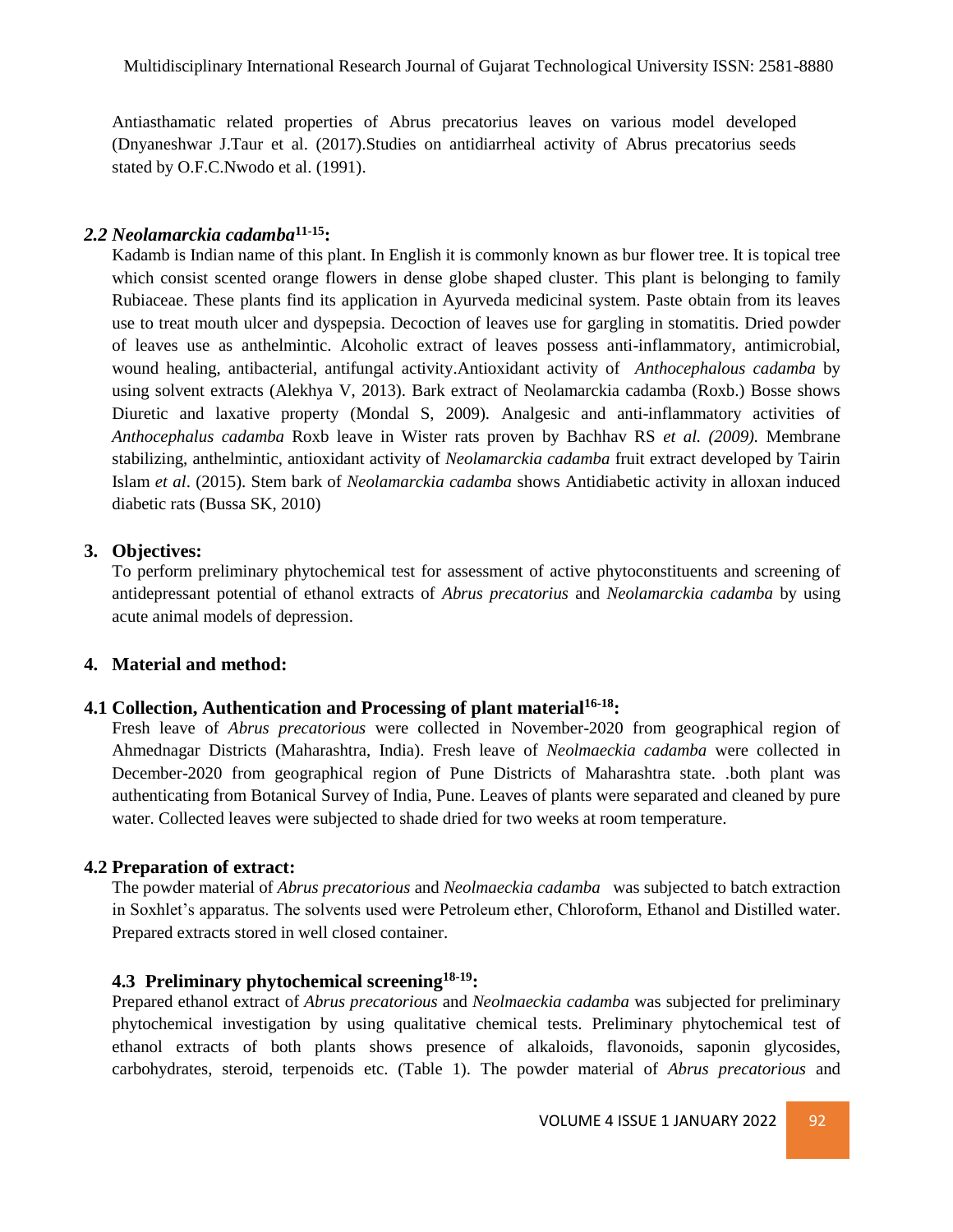Antiasthamatic related properties of Abrus precatorius leaves on various model developed (Dnyaneshwar J.Taur et al. (2017).Studies on antidiarrheal activity of Abrus precatorius seeds stated by O.F.C.Nwodo et al. (1991).

# *2.2 Neolamarckia cadamba***11-15:**

Kadamb is Indian name of this plant. In English it is commonly known as bur flower tree. It is topical tree which consist scented orange flowers in dense globe shaped cluster. This plant is belonging to family Rubiaceae. These plants find its application in Ayurveda medicinal system. Paste obtain from its leaves use to treat mouth ulcer and dyspepsia. Decoction of leaves use for gargling in stomatitis. Dried powder of leaves use as anthelmintic. Alcoholic extract of leaves possess anti-inflammatory, antimicrobial, wound healing, antibacterial, antifungal activity.Antioxidant activity of *Anthocephalous cadamba* by using solvent extracts (Alekhya V, 2013). Bark extract of Neolamarckia cadamba (Roxb.) Bosse shows Diuretic and laxative property (Mondal S, 2009). Analgesic and anti-inflammatory activities of *Anthocephalus cadamba* Roxb leave in Wister rats proven by Bachhav RS *et al. (2009).* Membrane stabilizing, anthelmintic, antioxidant activity of *Neolamarckia cadamba* fruit extract developed by Tairin Islam *et al*. (2015). Stem bark of *Neolamarckia cadamba* shows Antidiabetic activity in alloxan induced diabetic rats (Bussa SK, 2010)

### **3. Objectives:**

To perform preliminary phytochemical test for assessment of active phytoconstituents and screening of antidepressant potential of ethanol extracts of *Abrus precatorius* and *Neolamarckia cadamba* by using acute animal models of depression.

### **4. Material and method:**

### **4.1 Collection, Authentication and Processing of plant material16-18:**

Fresh leave of *Abrus precatorious* were collected in November-2020 from geographical region of Ahmednagar Districts (Maharashtra, India). Fresh leave of *Neolmaeckia cadamba* were collected in December-2020 from geographical region of Pune Districts of Maharashtra state. .both plant was authenticating from Botanical Survey of India, Pune. Leaves of plants were separated and cleaned by pure water. Collected leaves were subjected to shade dried for two weeks at room temperature.

### **4.2 Preparation of extract:**

The powder material of *Abrus precatorious* and *Neolmaeckia cadamba* was subjected to batch extraction in Soxhlet's apparatus. The solvents used were Petroleum ether, Chloroform, Ethanol and Distilled water. Prepared extracts stored in well closed container.

# **4.3 Preliminary phytochemical screening18-19:**

Prepared ethanol extract of *Abrus precatorious* and *Neolmaeckia cadamba* was subjected for preliminary phytochemical investigation by using qualitative chemical tests. Preliminary phytochemical test of ethanol extracts of both plants shows presence of alkaloids, flavonoids, saponin glycosides, carbohydrates, steroid, terpenoids etc. (Table 1). The powder material of *Abrus precatorious* and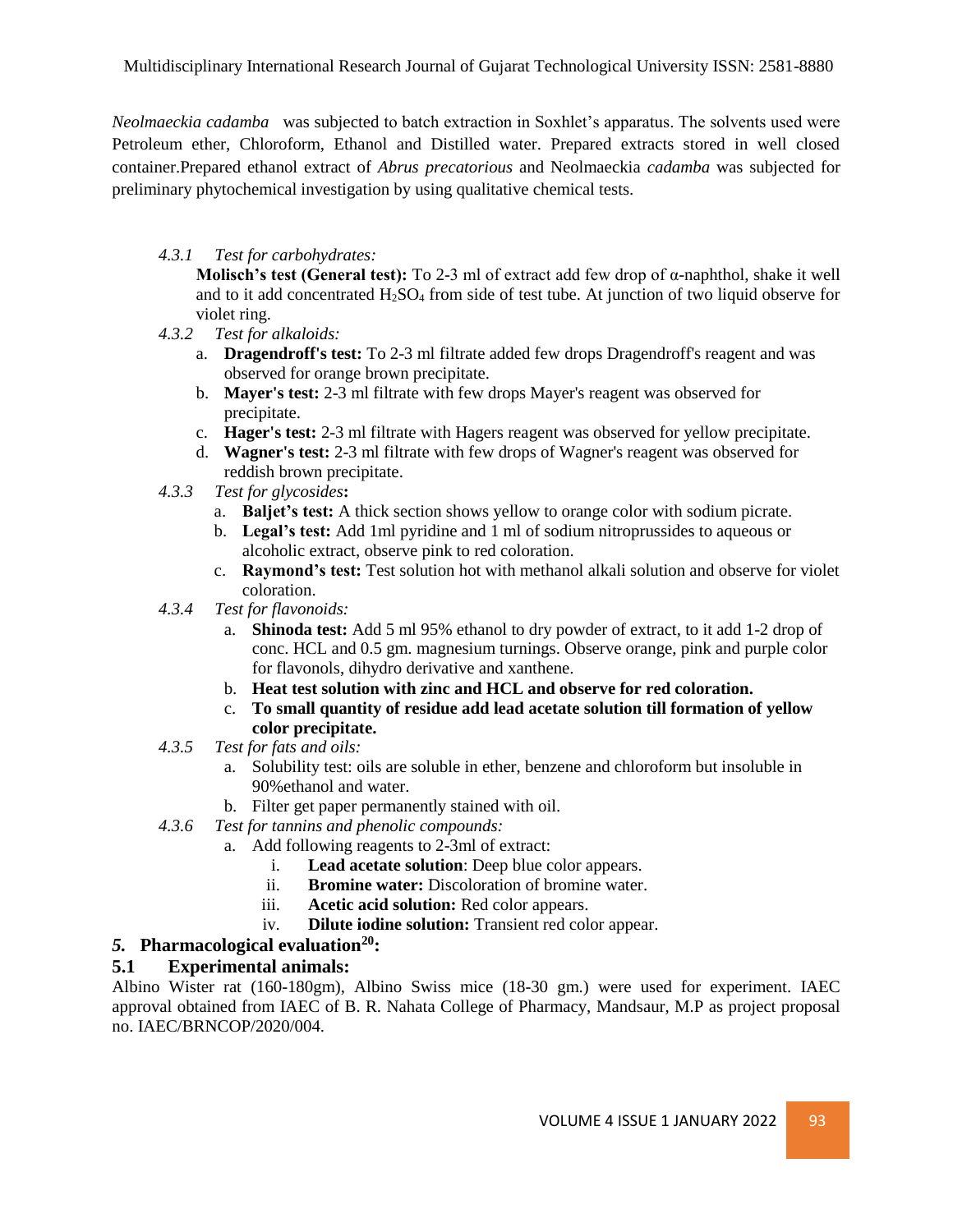*Neolmaeckia cadamba* was subjected to batch extraction in Soxhlet's apparatus. The solvents used were Petroleum ether, Chloroform, Ethanol and Distilled water. Prepared extracts stored in well closed container.Prepared ethanol extract of *Abrus precatorious* and Neolmaeckia *cadamba* was subjected for preliminary phytochemical investigation by using qualitative chemical tests.

### *4.3.1 Test for carbohydrates:*

**Molisch's test (General test):** To 2-3 ml of extract add few drop of α-naphthol, shake it well and to it add concentrated  $H_2SO_4$  from side of test tube. At junction of two liquid observe for violet ring.

- *4.3.2 Test for alkaloids:*
	- a. **Dragendroff's test:** To 2-3 ml filtrate added few drops Dragendroff's reagent and was observed for orange brown precipitate.
	- b. **Mayer's test:** 2-3 ml filtrate with few drops Mayer's reagent was observed for precipitate.
	- c. **Hager's test:** 2-3 ml filtrate with Hagers reagent was observed for yellow precipitate.
	- d. **Wagner's test:** 2-3 ml filtrate with few drops of Wagner's reagent was observed for reddish brown precipitate.
- *4.3.3 Test for glycosides***:**
	- a. **Baljet's test:** A thick section shows yellow to orange color with sodium picrate.
	- b. **Legal's test:** Add 1ml pyridine and 1 ml of sodium nitroprussides to aqueous or alcoholic extract, observe pink to red coloration.
	- c. **Raymond's test:** Test solution hot with methanol alkali solution and observe for violet coloration.
- *4.3.4 Test for flavonoids:*
	- a. **Shinoda test:** Add 5 ml 95% ethanol to dry powder of extract, to it add 1-2 drop of conc. HCL and 0.5 gm. magnesium turnings. Observe orange, pink and purple color for flavonols, dihydro derivative and xanthene.
	- b. **Heat test solution with zinc and HCL and observe for red coloration.**
	- c. **To small quantity of residue add lead acetate solution till formation of yellow color precipitate.**
- *4.3.5 Test for fats and oils:*
	- a. Solubility test: oils are soluble in ether, benzene and chloroform but insoluble in 90%ethanol and water.
	- b. Filter get paper permanently stained with oil.
- *4.3.6 Test for tannins and phenolic compounds:*
	- a. Add following reagents to 2-3ml of extract:
		- i. **Lead acetate solution**: Deep blue color appears.
		- ii. **Bromine water:** Discoloration of bromine water.
		- iii. **Acetic acid solution:** Red color appears.
		- iv. **Dilute iodine solution:** Transient red color appear.

# *5.* **Pharmacological evaluation<sup>20</sup>:**

# **5.1 Experimental animals:**

Albino Wister rat (160-180gm), Albino Swiss mice (18-30 gm.) were used for experiment. IAEC approval obtained from IAEC of B. R. Nahata College of Pharmacy, Mandsaur, M.P as project proposal no. IAEC/BRNCOP/2020/004.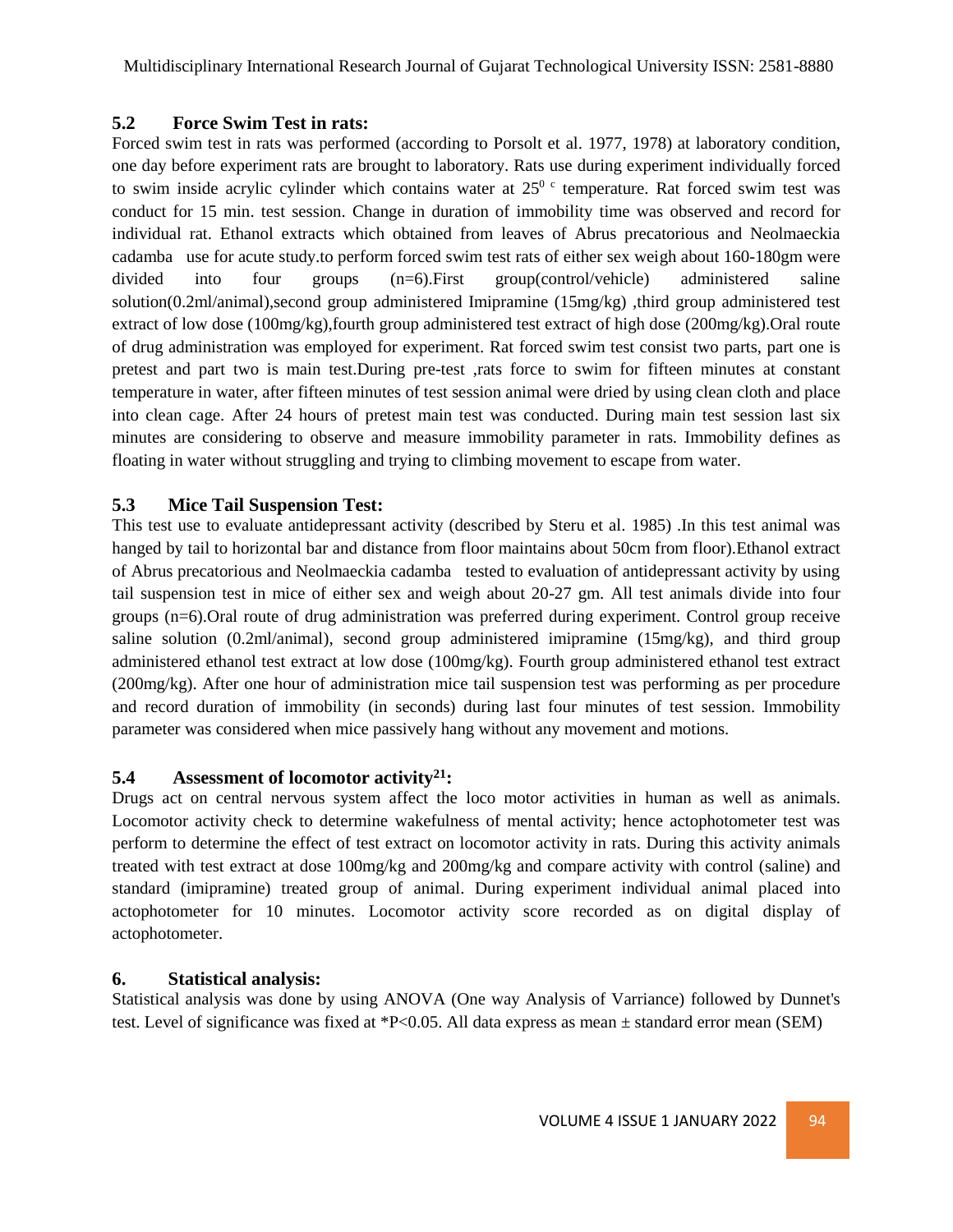# **5.2 Force Swim Test in rats:**

Forced swim test in rats was performed (according to Porsolt et al. 1977, 1978) at laboratory condition, one day before experiment rats are brought to laboratory. Rats use during experiment individually forced to swim inside acrylic cylinder which contains water at  $25^\circ$  c temperature. Rat forced swim test was conduct for 15 min. test session. Change in duration of immobility time was observed and record for individual rat. Ethanol extracts which obtained from leaves of Abrus precatorious and Neolmaeckia cadamba use for acute study.to perform forced swim test rats of either sex weigh about 160-180gm were divided into four groups (n=6).First group(control/vehicle) administered saline solution(0.2ml/animal),second group administered Imipramine (15mg/kg) ,third group administered test extract of low dose (100mg/kg),fourth group administered test extract of high dose (200mg/kg).Oral route of drug administration was employed for experiment. Rat forced swim test consist two parts, part one is pretest and part two is main test.During pre-test ,rats force to swim for fifteen minutes at constant temperature in water, after fifteen minutes of test session animal were dried by using clean cloth and place into clean cage. After 24 hours of pretest main test was conducted. During main test session last six minutes are considering to observe and measure immobility parameter in rats. Immobility defines as floating in water without struggling and trying to climbing movement to escape from water.

# **5.3 Mice Tail Suspension Test:**

This test use to evaluate antidepressant activity (described by Steru et al. 1985) .In this test animal was hanged by tail to horizontal bar and distance from floor maintains about 50cm from floor).Ethanol extract of Abrus precatorious and Neolmaeckia cadamba tested to evaluation of antidepressant activity by using tail suspension test in mice of either sex and weigh about 20-27 gm. All test animals divide into four groups (n=6).Oral route of drug administration was preferred during experiment. Control group receive saline solution (0.2ml/animal), second group administered imipramine (15mg/kg), and third group administered ethanol test extract at low dose (100mg/kg). Fourth group administered ethanol test extract (200mg/kg). After one hour of administration mice tail suspension test was performing as per procedure and record duration of immobility (in seconds) during last four minutes of test session. Immobility parameter was considered when mice passively hang without any movement and motions.

# **5.4 Assessment of locomotor activity<sup>21</sup>:**

Drugs act on central nervous system affect the loco motor activities in human as well as animals. Locomotor activity check to determine wakefulness of mental activity; hence actophotometer test was perform to determine the effect of test extract on locomotor activity in rats. During this activity animals treated with test extract at dose 100mg/kg and 200mg/kg and compare activity with control (saline) and standard (imipramine) treated group of animal. During experiment individual animal placed into actophotometer for 10 minutes. Locomotor activity score recorded as on digital display of actophotometer.

# **6. Statistical analysis:**

Statistical analysis was done by using ANOVA (One way Analysis of Varriance) followed by Dunnet's test. Level of significance was fixed at \*P<0.05. All data express as mean  $\pm$  standard error mean (SEM)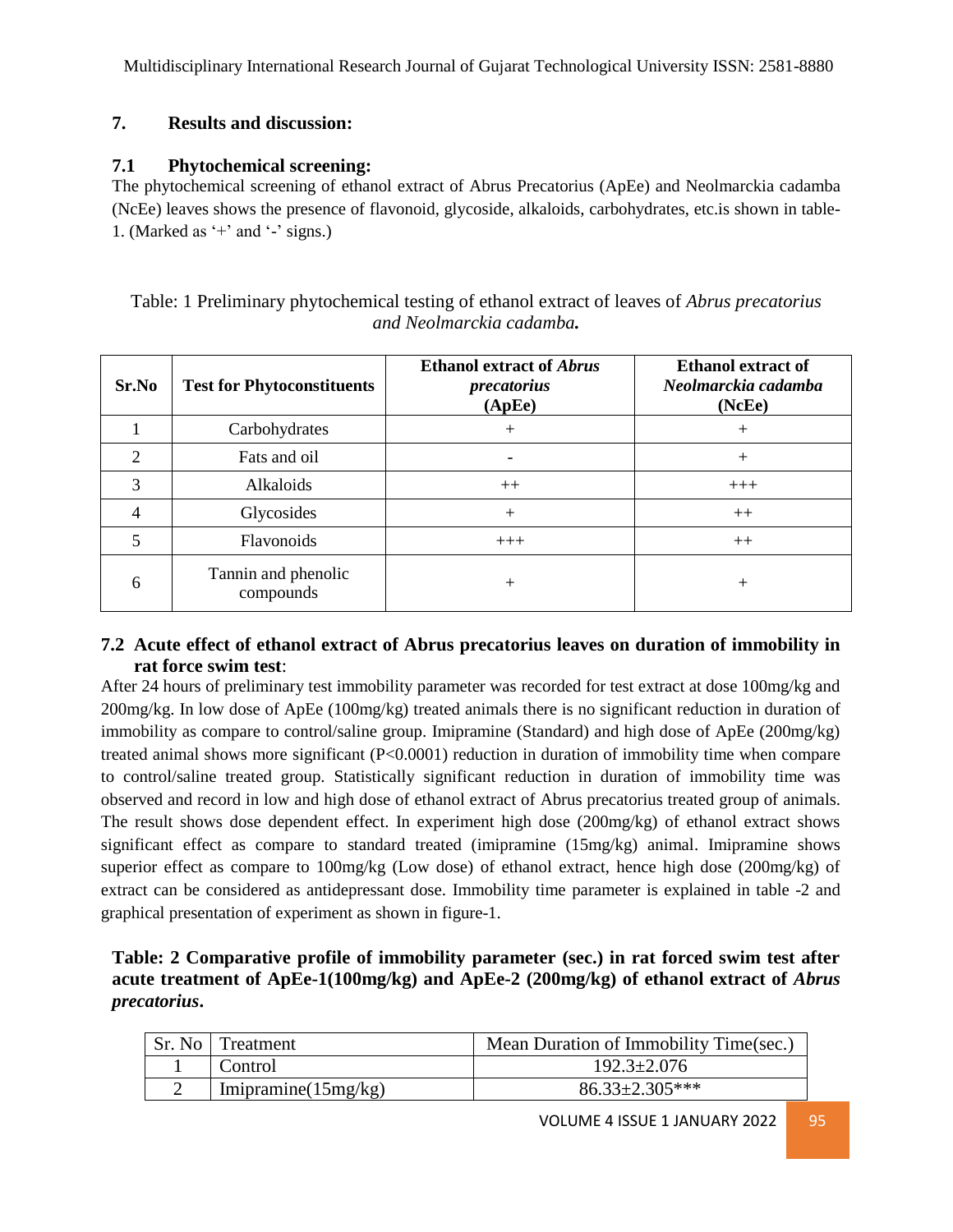# **7. Results and discussion:**

# **7.1 Phytochemical screening:**

The phytochemical screening of ethanol extract of Abrus Precatorius (ApEe) and Neolmarckia cadamba (NcEe) leaves shows the presence of flavonoid, glycoside, alkaloids, carbohydrates, etc.is shown in table-1. (Marked as  $+$  and  $-$  signs.)

| Table: 1 Preliminary phytochemical testing of ethanol extract of leaves of <i>Abrus precatorius</i> |  |  |
|-----------------------------------------------------------------------------------------------------|--|--|
| and Neolmarckia cadamba.                                                                            |  |  |

| Sr.No          | <b>Test for Phytoconstituents</b> | <b>Ethanol extract of Abrus</b><br>precatorius<br>(ApEe) | <b>Ethanol extract of</b><br>Neolmarckia cadamba<br>(NcEe) |
|----------------|-----------------------------------|----------------------------------------------------------|------------------------------------------------------------|
|                | Carbohydrates                     | $+$                                                      | $^{+}$                                                     |
| $\mathfrak{D}$ | Fats and oil                      |                                                          | $^{+}$                                                     |
| 3              | Alkaloids                         | $++$                                                     | $+++$                                                      |
| 4              | Glycosides                        | $+$                                                      | $++$                                                       |
| 5              | Flavonoids                        | $+++$                                                    | $++$                                                       |
| 6              | Tannin and phenolic<br>compounds  | $^{+}$                                                   | $^+$                                                       |

# **7.2 Acute effect of ethanol extract of Abrus precatorius leaves on duration of immobility in rat force swim test**:

After 24 hours of preliminary test immobility parameter was recorded for test extract at dose 100mg/kg and 200mg/kg. In low dose of ApEe (100mg/kg) treated animals there is no significant reduction in duration of immobility as compare to control/saline group. Imipramine (Standard) and high dose of ApEe (200mg/kg) treated animal shows more significant (P<0.0001) reduction in duration of immobility time when compare to control/saline treated group. Statistically significant reduction in duration of immobility time was observed and record in low and high dose of ethanol extract of Abrus precatorius treated group of animals. The result shows dose dependent effect. In experiment high dose (200mg/kg) of ethanol extract shows significant effect as compare to standard treated (imipramine (15mg/kg) animal. Imipramine shows superior effect as compare to 100mg/kg (Low dose) of ethanol extract, hence high dose (200mg/kg) of extract can be considered as antidepressant dose. Immobility time parameter is explained in table -2 and graphical presentation of experiment as shown in figure-1.

# **Table: 2 Comparative profile of immobility parameter (sec.) in rat forced swim test after acute treatment of ApEe-1(100mg/kg) and ApEe-2 (200mg/kg) of ethanol extract of** *Abrus precatorius***.**

| Sr. No   Treatment      | Mean Duration of Immobility Time(sec.) |
|-------------------------|----------------------------------------|
| Control                 | $192.3 \pm 2.076$                      |
| Imipramine( $15mg/kg$ ) | $86.33 \pm 2.305$ ***                  |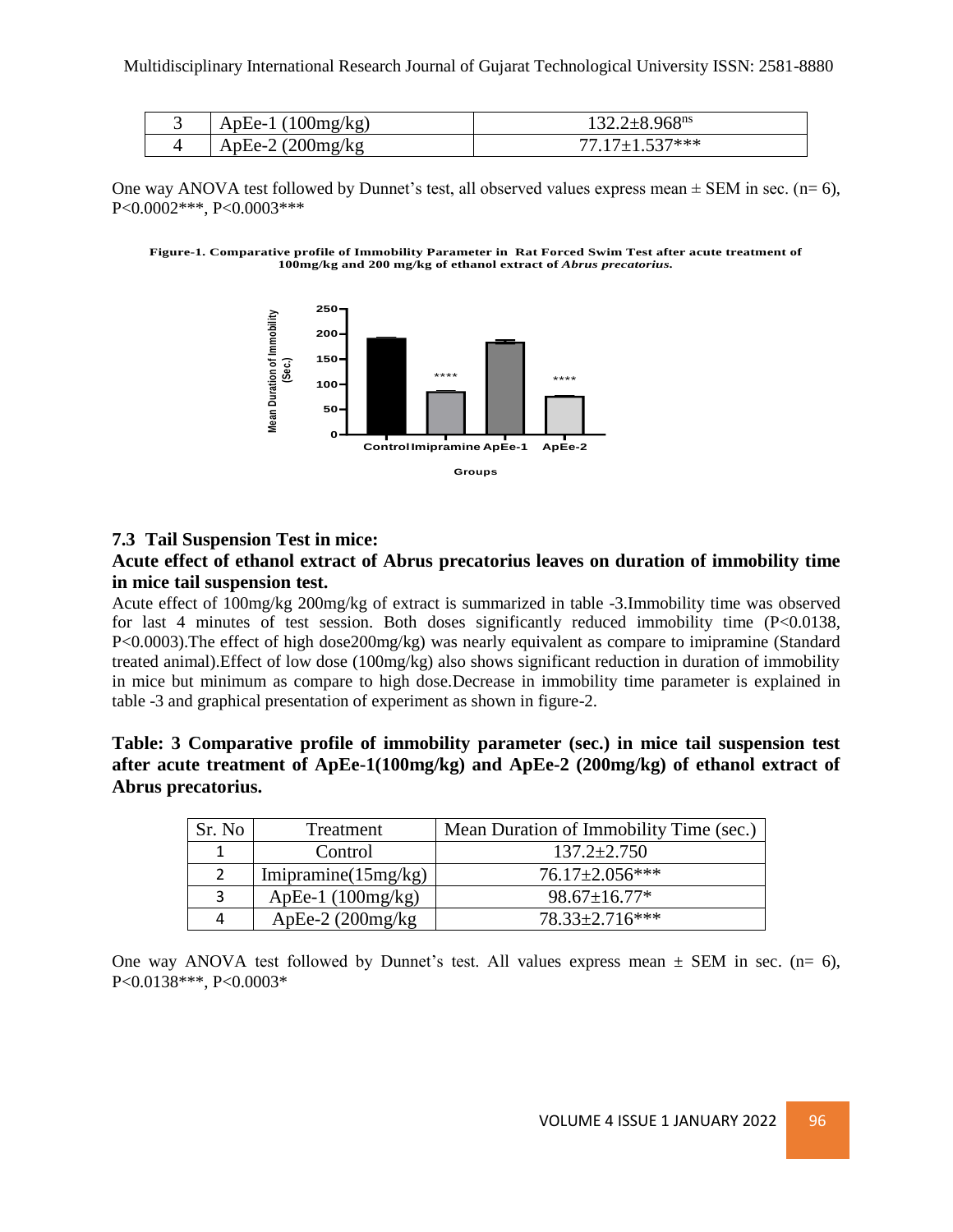| ApEe-1 $(100mg/kg)$ | $1.32.2 \pm 8.968$ <sup>ns</sup> |
|---------------------|----------------------------------|
| ApEe-2 $(200mg/kg)$ | $7717+1537***$                   |

One way ANOVA test followed by Dunnet's test, all observed values express mean  $\pm$  SEM in sec. (n= 6), P<0.0002\*\*\*, P<0.0003\*\*\*





### **7.3 Tail Suspension Test in mice:**

### **Acute effect of ethanol extract of Abrus precatorius leaves on duration of immobility time in mice tail suspension test.**

Acute effect of 100mg/kg 200mg/kg of extract is summarized in table -3.Immobility time was observed for last 4 minutes of test session. Both doses significantly reduced immobility time (P<0.0138, P<0.0003).The effect of high dose200mg/kg) was nearly equivalent as compare to imipramine (Standard treated animal).Effect of low dose (100mg/kg) also shows significant reduction in duration of immobility in mice but minimum as compare to high dose.Decrease in immobility time parameter is explained in table -3 and graphical presentation of experiment as shown in figure-2.

**Table: 3 Comparative profile of immobility parameter (sec.) in mice tail suspension test after acute treatment of ApEe-1(100mg/kg) and ApEe-2 (200mg/kg) of ethanol extract of Abrus precatorius.**

| Sr. No | Treatment              | Mean Duration of Immobility Time (sec.) |
|--------|------------------------|-----------------------------------------|
|        | Control                | $137.2 \pm 2.750$                       |
|        | Imipramine $(15mg/kg)$ | $76.17 \pm 2.056$ ***                   |
|        | ApEe-1 $(100mg/kg)$    | $98.67 \pm 16.77*$                      |
| 4      | ApEe-2 $(200mg/kg)$    | $78.33 \pm 2.716$ ***                   |

One way ANOVA test followed by Dunnet's test. All values express mean  $\pm$  SEM in sec. (n= 6), P<0.0138\*\*\*, P<0.0003\*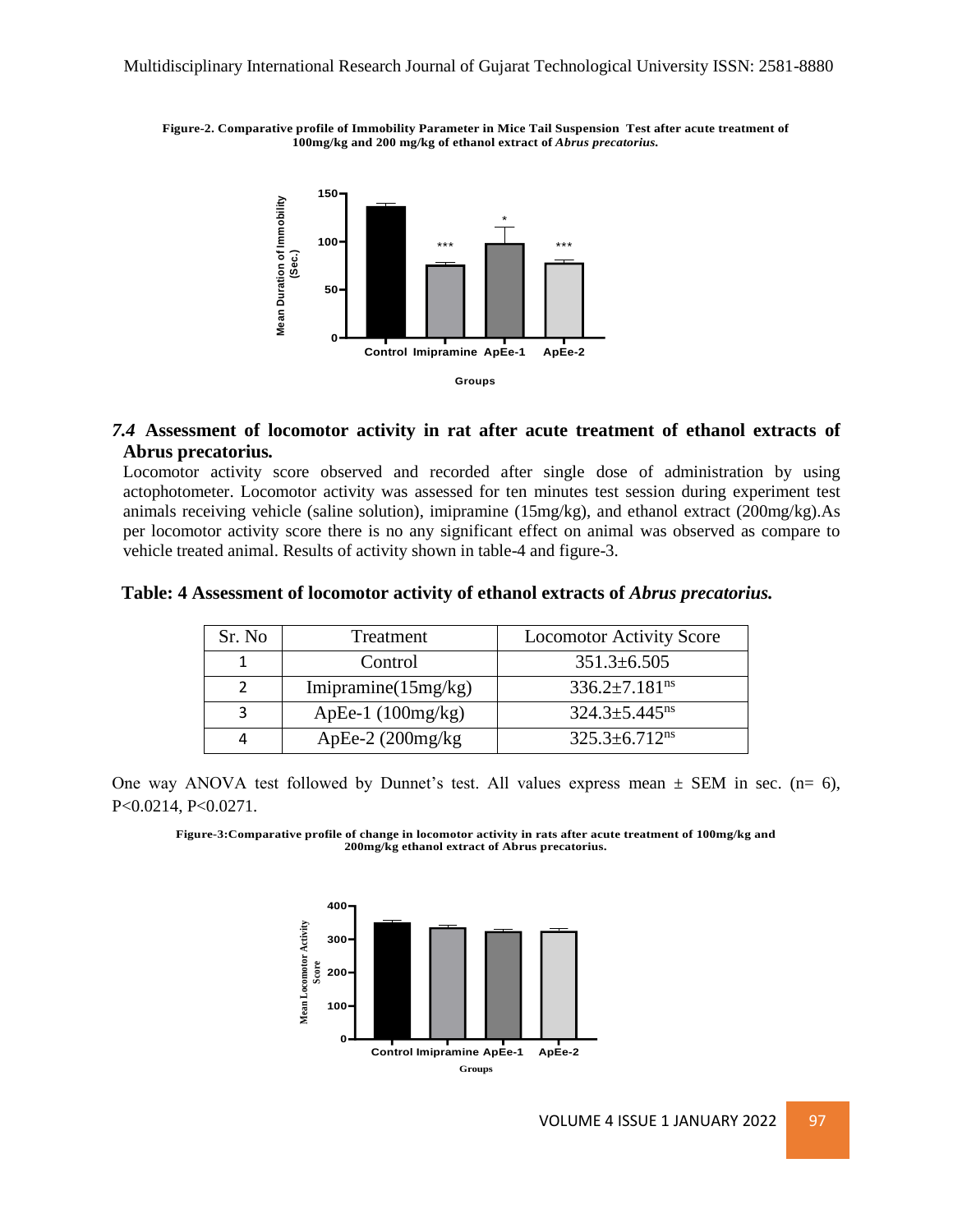**Figure-2. Comparative profile of Immobility Parameter in Mice Tail Suspension Testafter acute treatment of 100mg/kg and 200 mg/kg of ethanol extract of** *Abrus precatorius.*



### *7.4* **Assessment of locomotor activity in rat after acute treatment of ethanol extracts of Abrus precatorius***.*

Locomotor activity score observed and recorded after single dose of administration by using actophotometer. Locomotor activity was assessed for ten minutes test session during experiment test animals receiving vehicle (saline solution), imipramine (15mg/kg), and ethanol extract (200mg/kg).As per locomotor activity score there is no any significant effect on animal was observed as compare to vehicle treated animal. Results of activity shown in table-4 and figure-3.

#### **Table: 4 Assessment of locomotor activity of ethanol extracts of** *Abrus precatorius.*

| Sr. No | Treatment              | <b>Locomotor Activity Score</b> |
|--------|------------------------|---------------------------------|
|        | Control                | $351.3 \pm 6.505$               |
|        | Imipramine $(15mg/kg)$ | $336.2 \pm 7.181$ <sup>ns</sup> |
|        | ApEe-1 $(100mg/kg)$    | $324.3 \pm 5.445$ <sup>ns</sup> |
|        | ApEe-2 $(200mg/kg)$    | $325.3 \pm 6.712$ <sup>ns</sup> |

One way ANOVA test followed by Dunnet's test. All values express mean  $\pm$  SEM in sec. (n= 6), P<0.0214, P<0.0271.

**Figure-3:Comparative profile of change in locomotor activity in rats after acute treatment of 100mg/kg and 200mg/kg ethanol extract of Abrus precatorius.**

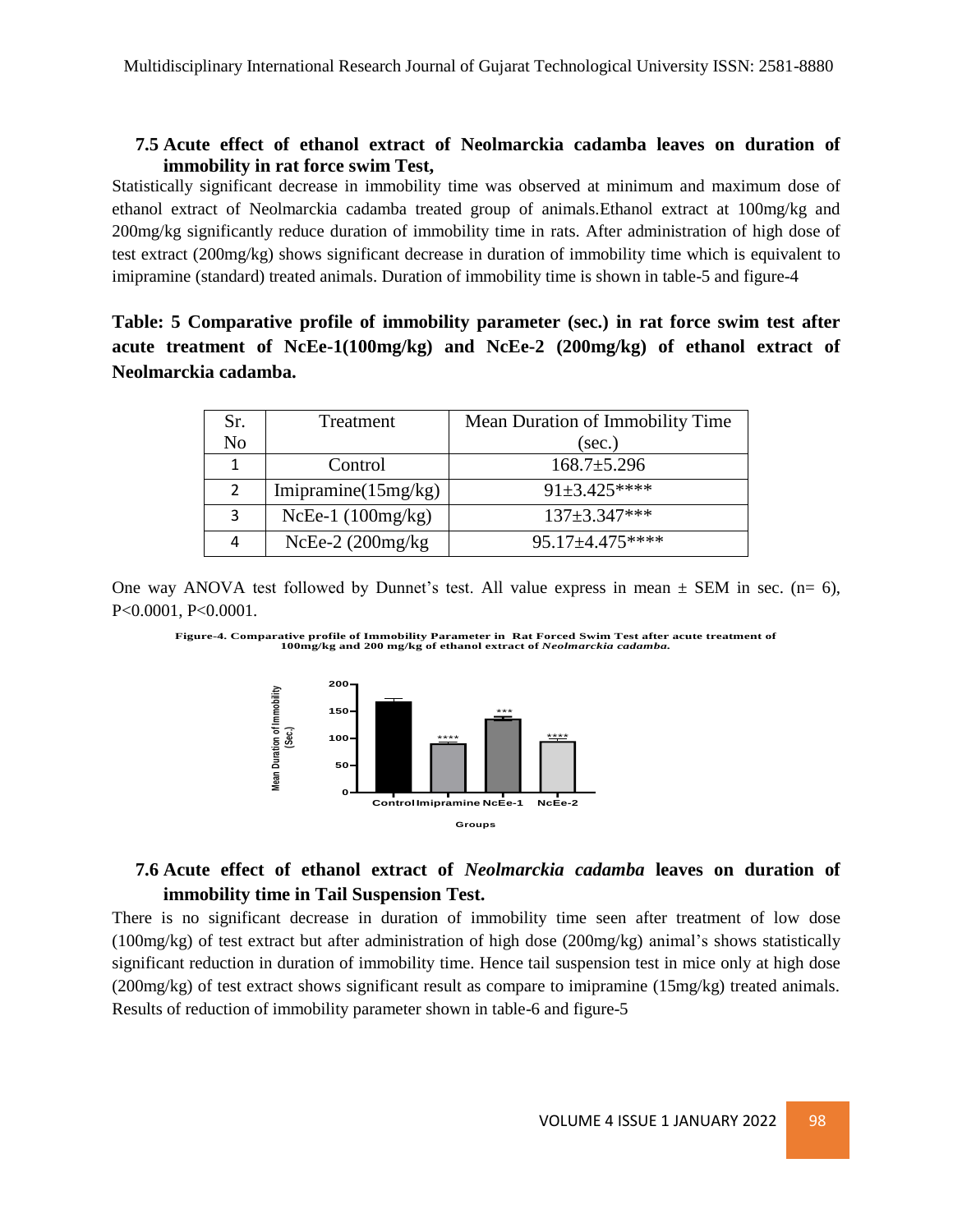# **7.5 Acute effect of ethanol extract of Neolmarckia cadamba leaves on duration of immobility in rat force swim Test,**

Statistically significant decrease in immobility time was observed at minimum and maximum dose of ethanol extract of Neolmarckia cadamba treated group of animals.Ethanol extract at 100mg/kg and 200mg/kg significantly reduce duration of immobility time in rats. After administration of high dose of test extract (200mg/kg) shows significant decrease in duration of immobility time which is equivalent to imipramine (standard) treated animals. Duration of immobility time is shown in table-5 and figure-4

# **Table: 5 Comparative profile of immobility parameter (sec.) in rat force swim test after acute treatment of NcEe-1(100mg/kg) and NcEe-2 (200mg/kg) of ethanol extract of Neolmarckia cadamba.**

| Sr.            | Treatment              | Mean Duration of Immobility Time |
|----------------|------------------------|----------------------------------|
| N <sub>o</sub> |                        | (sec.)                           |
| 1              | Control                | $168.7 \pm 5.296$                |
| 2              | Imipramine $(15mg/kg)$ | $91\pm3.425***$                  |
| 3              | NcEe-1 $(100mg/kg)$    | $137 \pm 3.347$ ***              |
| 4              | NcEe- $2(200$ mg/kg    | $95.17 \pm 4.475$ ****           |

One way ANOVA test followed by Dunnet's test. All value express in mean  $\pm$  SEM in sec. (n= 6), P<0.0001, P<0.0001.





# **7.6 Acute effect of ethanol extract of** *Neolmarckia cadamba* **leaves on duration of immobility time in Tail Suspension Test.**

There is no significant decrease in duration of immobility time seen after treatment of low dose (100mg/kg) of test extract but after administration of high dose (200mg/kg) animal's shows statistically significant reduction in duration of immobility time. Hence tail suspension test in mice only at high dose (200mg/kg) of test extract shows significant result as compare to imipramine (15mg/kg) treated animals. Results of reduction of immobility parameter shown in table-6 and figure-5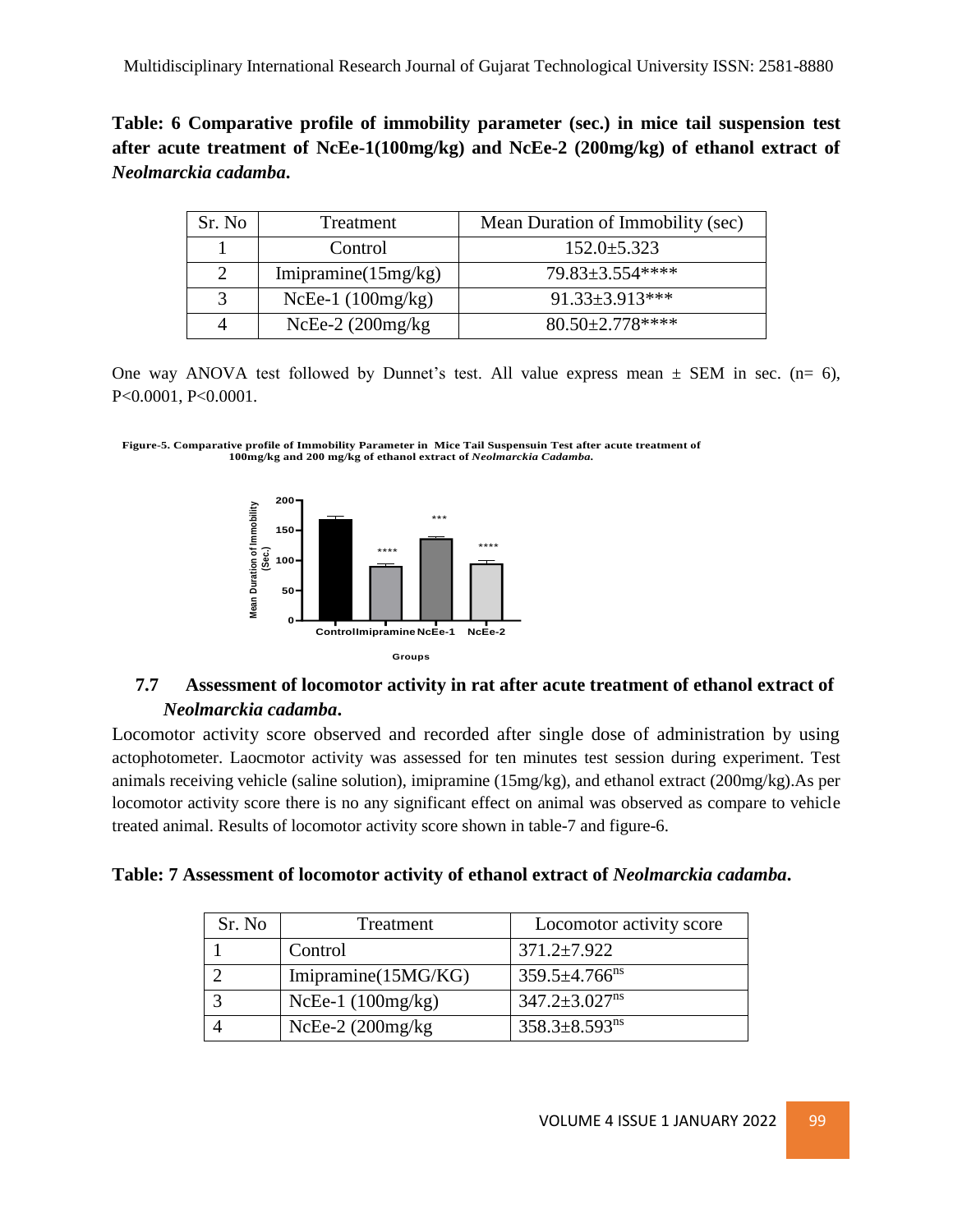# **Table: 6 Comparative profile of immobility parameter (sec.) in mice tail suspension test after acute treatment of NcEe-1(100mg/kg) and NcEe-2 (200mg/kg) of ethanol extract of**  *Neolmarckia cadamba***.**

| Sr. No | Treatment              | Mean Duration of Immobility (sec) |
|--------|------------------------|-----------------------------------|
|        | Control                | $152.0 \pm 5.323$                 |
| 2      | Imipramine $(15mg/kg)$ | $79.83 \pm 3.554$ ****            |
| 3      | NcEe-1 $(100mg/kg)$    | 91.33±3.913***                    |
|        | $NcEe-2$ (200mg/kg)    | $80.50 \pm 2.778$ ****            |

One way ANOVA test followed by Dunnet's test. All value express mean  $\pm$  SEM in sec. (n= 6), P<0.0001, P<0.0001.





# **7.7 Assessment of locomotor activity in rat after acute treatment of ethanol extract of**  *Neolmarckia cadamba***.**

Locomotor activity score observed and recorded after single dose of administration by using actophotometer. Laocmotor activity was assessed for ten minutes test session during experiment. Test animals receiving vehicle (saline solution), imipramine (15mg/kg), and ethanol extract (200mg/kg).As per locomotor activity score there is no any significant effect on animal was observed as compare to vehicle treated animal. Results of locomotor activity score shown in table-7 and figure-6.

| Table: 7 Assessment of locomotor activity of ethanol extract of Neolmarckia cadamba. |
|--------------------------------------------------------------------------------------|
|--------------------------------------------------------------------------------------|

| Sr. No | Treatment           | Locomotor activity score        |
|--------|---------------------|---------------------------------|
|        | Control             | $371.2 \pm 7.922$               |
|        | Imipramine(15MG/KG) | $359.5 \pm 4.766$ <sup>ns</sup> |
|        | NcEe-1 $(100mg/kg)$ | $347.2 \pm 3.027$ <sup>ns</sup> |
|        | $NCEe-2$ (200mg/kg) | $358.3 \pm 8.593$ <sup>ns</sup> |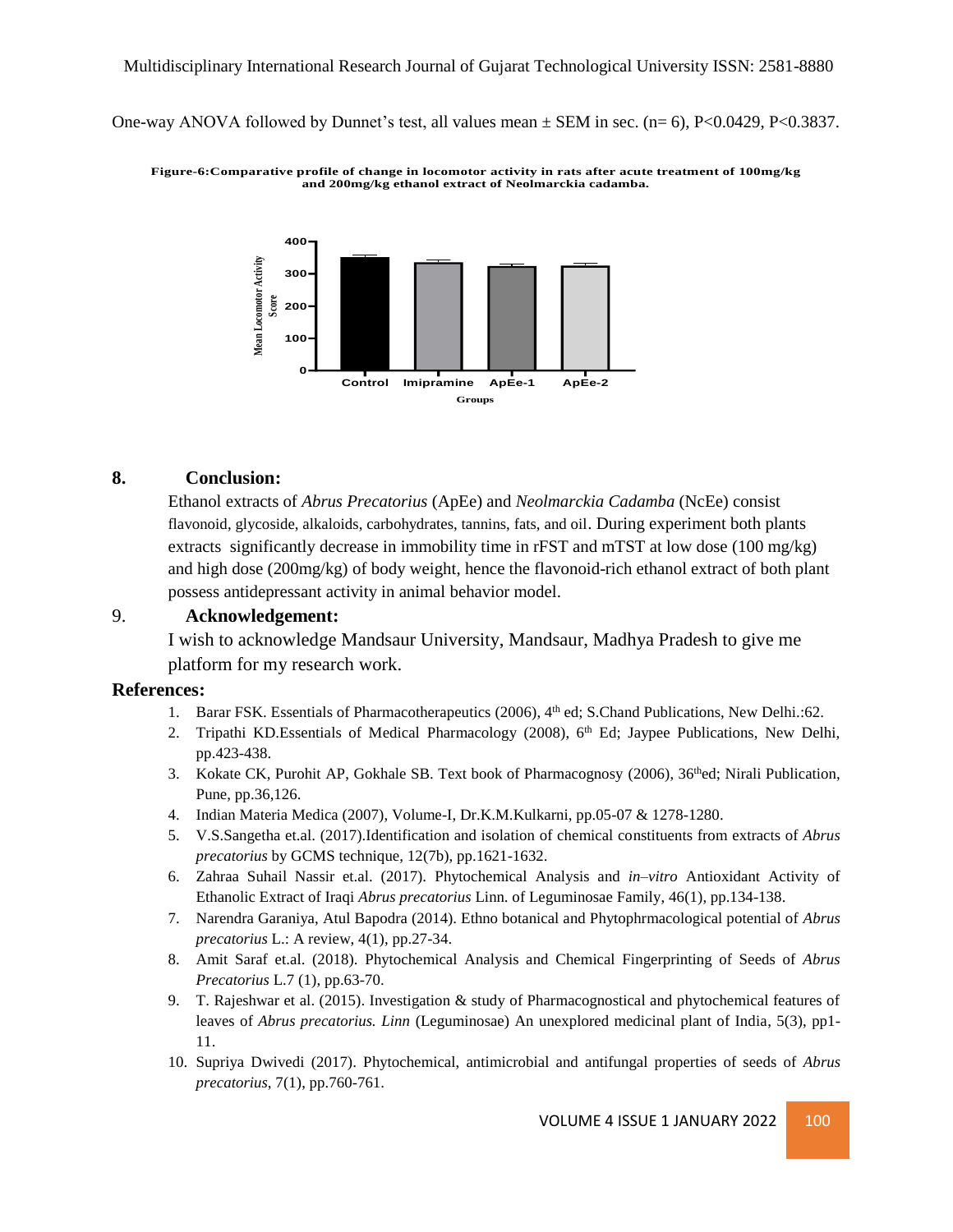One-way ANOVA followed by Dunnet's test, all values mean  $\pm$  SEM in sec. (n= 6), P<0.0429, P<0.3837.

**Figure-6:Comparative profile ofchange in locomotor activity in rats after acute treatment of 100mg/kg and 200mg/kg ethanol extract of Neolmarckia cadamba.**



### **8. Conclusion:**

Ethanol extracts of *Abrus Precatorius* (ApEe) and *Neolmarckia Cadamba* (NcEe) consist flavonoid, glycoside, alkaloids, carbohydrates, tannins, fats, and oil. During experiment both plants extracts significantly decrease in immobility time in rFST and mTST at low dose (100 mg/kg) and high dose (200mg/kg) of body weight, hence the flavonoid-rich ethanol extract of both plant possess antidepressant activity in animal behavior model.

### 9. **Acknowledgement:**

I wish to acknowledge Mandsaur University, Mandsaur, Madhya Pradesh to give me platform for my research work.

#### **References:**

- 1. Barar FSK. Essentials of Pharmacotherapeutics (2006), 4<sup>th</sup> ed; S.Chand Publications, New Delhi.:62.
- 2. Tripathi KD.Essentials of Medical Pharmacology (2008), 6<sup>th</sup> Ed; Jaypee Publications, New Delhi, pp.423-438.
- 3. Kokate CK, Purohit AP, Gokhale SB. Text book of Pharmacognosy (2006), 36thed; Nirali Publication, Pune, pp.36,126.
- 4. Indian Materia Medica (2007), Volume-I, Dr.K.M.Kulkarni, pp.05-07 & 1278-1280.
- 5. V.S.Sangetha et.al. (2017).Identification and isolation of chemical constituents from extracts of *Abrus precatorius* by GCMS technique, 12(7b), pp.1621-1632.
- 6. Zahraa Suhail Nassir et.al. (2017). Phytochemical Analysis and *in–vitro* Antioxidant Activity of Ethanolic Extract of Iraqi *Abrus precatorius* Linn. of Leguminosae Family, 46(1), pp.134-138.
- 7. Narendra Garaniya, Atul Bapodra (2014). Ethno botanical and Phytophrmacological potential of *Abrus precatorius* L.: A review, 4(1), pp.27-34.
- 8. Amit Saraf et.al. (2018). Phytochemical Analysis and Chemical Fingerprinting of Seeds of *Abrus Precatorius* L.7 (1), pp.63-70.
- 9. T. Rajeshwar et al. (2015). Investigation & study of Pharmacognostical and phytochemical features of leaves of *Abrus precatorius. Linn* (Leguminosae) An unexplored medicinal plant of India, 5(3), pp1- 11.
- 10. Supriya Dwivedi (2017). Phytochemical, antimicrobial and antifungal properties of seeds of *Abrus precatorius*, 7(1), pp.760-761.